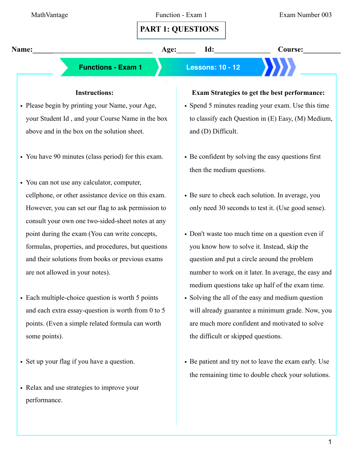• Set up your flag if you have a question.

some points).

- Relax and use strategies to improve your performance.
- Be patient and try not to leave the exam early. Use the remaining time to double check your solutions.

the difficult or skipped questions.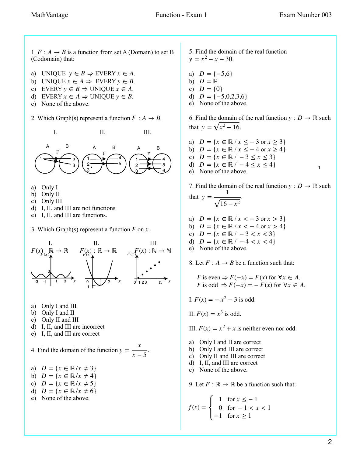1

1.  $F : A \rightarrow B$  is a function from set A (Domain) to set B (Codomain) that:

- a) UNIQUE  $y \in B \Rightarrow EVERT \; x \in A$ .
- b) UNIQUE  $x \in A \Rightarrow \text{EVERY } y \in B$ .
- c) EVERY  $y \in B \Rightarrow UNIQUE \; x \in A$ .
- d) EVERY  $x \in A \Rightarrow UNIQUE y \in B$ .
- e) None of the above.
- 2. Which Graph(s) represent a function  $F : A \rightarrow B$ .



- a) Only I
- b) Only II
- c) Only III
- d) I, II, and III are not functions
- e) I, II, and III are functions.
- 3. Which Graph(s) represent a function  $F$  on  $x$ .



- a) Only I and III
- b) Only I and II
- c) Only II and III
- d) I, II, and III are incorrect
- e) I, II, and III are correct

4. Find the domain of the function  $y = \frac{x}{\epsilon}$ . *x* − 5

- a)  $D = \{x \in \mathbb{R}/x \neq 3\}$
- **b**)  $D = \{x \in \mathbb{R} / x \neq 4\}$
- c)  $D = \{x \in \mathbb{R} / x \neq 5\}$
- d)  $D = \{x \in \mathbb{R}/x \neq 6\}$
- e) None of the above.

5. Find the domain of the real function  $y = x^2 - x - 30.$ 

- a)  $D = \{-5,6\}$
- b) *D* = ℝ
- c)  $D = \{0\}$
- d)  $D = \{-5, 0, 2, 3, 6\}$
- e) None of the above.

6. Find the domain of the real function  $y : D \to \mathbb{R}$  such that  $y = \sqrt{x^2 - 16}$ .

a)  $D = \{x \in \mathbb{R} / x \le -3 \text{ or } x \ge 3\}$ **b**)  $D = \{x \in \mathbb{R} / x \le -4 \text{ or } x \ge 4\}$ c)  $D = \{x \in \mathbb{R} / -3 \le x \le 3\}$ d)  $D = \{x \in \mathbb{R} / -4 \le x \le 4\}$ e) None of the above.

7. Find the domain of the real function  $y : D \to \mathbb{R}$  such that  $y = \frac{1}{\sqrt{2}}$ .  $16 - x^2$ 

- a)  $D = \{x \in \mathbb{R} \mid x < -3 \text{ or } x > 3\}$
- b)  $D = \{x \in \mathbb{R} \mid x < -4 \text{ or } x > 4\}$
- c)  $D = \{x \in \mathbb{R} \mid -3 < x < 3\}$
- d)  $D = \{x \in \mathbb{R} \mid -4 < x < 4\}$
- e) None of the above.

8. Let  $F : A \rightarrow B$  be a function such that:

*F* is even  $\Rightarrow$   $F(-x) = F(x)$  for  $\forall x \in A$ . *F* is odd  $\Rightarrow$   $F(-x) = -F(x)$  for  $\forall x \in A$ .

- I.  $F(x) = -x^2 3$  is odd.
- II.  $F(x) = x^3$  is odd.
- III.  $F(x) = x^2 + x$  is neither even nor odd.
- a) Only I and II are correct
- b) Only I and III are correct
- c) Only II and III are correct
- d) I, II, and III are correct
- e) None of the above.

9. Let  $F : \mathbb{R} \to \mathbb{R}$  be a function such that:

$$
f(x) = \begin{cases} 1 & \text{for } x \le -1 \\ 0 & \text{for } -1 < x < 1 \\ -1 & \text{for } x \ge 1 \end{cases}
$$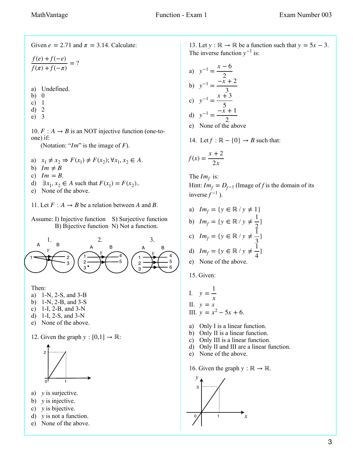Given  $e = 2.71$  and  $\pi = 3.14$ . Calculate:

 $\frac{f(e) + f(-e)}{g(e) + f(-e)} = ?$  $\frac{f(\pi) + f(-\pi)}{f(\pi) + f(-\pi)}$  =

a) Undefined.

- b) 0
- c) 1
- d) 2
- e) 3

10.  $F: A \rightarrow B$  is an NOT injective function (one-toone) if:

(Notation: " $Im$ " is the image of  $F$ ).

- a)  $x_1 \neq x_2 \Rightarrow F(x_1) \neq F(x_2); \forall x_1, x_2 \in A$ .
- b)  $Im \neq B$
- c)  $Im = B$ .
- d)  $\exists x_1, x_2 \in A$  such that  $F(x_1) = F(x_2)$ .

e) None of the above.

11. Let  $F : A \rightarrow B$  be a relation between A and B.

Assume: I) Injective function S) Surjective function B) Bijective function N) Not a function.



Then:

- a) 1-N, 2-S, and 3-B
- b) 1-N, 2-B, and 3-S
- c) 1-I, 2-B, and 3-N
- d) 1-I, 2-S, and 3-N
- e) None of the above.

12. Given the graph  $y : [0,1] \rightarrow \mathbb{R}$ :



- a) *y* is surjective.
- b) *y* is injective.
- c) *y* is bijective.
- d) *y* is not a function.
- e) None of the above.

13. Let  $y : \mathbb{R} \to \mathbb{R}$  be a function such that  $y = 5x - 3$ . The inverse function  $y^{-1}$  is:

a) 
$$
y^{-1} = \frac{x - 6}{2}
$$
  
\nb)  $y^{-1} = \frac{-x + 2}{3}$   
\nc)  $y^{-1} = \frac{x + 3}{5}$   
\nd)  $y^{-1} = \frac{-x + 1}{2}$   
\ne) None of the above

14. Let 
$$
f : \mathbb{R} - \{0\} \to B
$$
 such that:

$$
f(x) = \frac{x+2}{2x}
$$

The  $Im<sub>f</sub>$  is: Hint:  $Im_f = D_{f-1}$  (Image of *f* is the domain of its inverse  $f^{-1}$ ).

- a)  $Im_f = \{ y \in \mathbb{R} / y \neq 1 \}$
- b) *Im<sub>f</sub>* = {*y* ∈ ℝ / *y* ≠  $\frac{1}{2}$ }
- c) 2 *Im<sub>f</sub>* = {*y* ∈ ℝ / *y* ≠  $\frac{1}{3}$ }
- d)  $Im_f = \{ y \in \mathbb{R} / y \neq \frac{1}{4} \}$ 3 4 }
- e) None of the above.
- 15. Given:

I. 
$$
y = \frac{1}{x}
$$
  
\nII.  $y = x$   
\nIII.  $y = x^2 - 5x + 6$ .

- a) Only I is a linear function.
- b) Only II is a linear function.
- c) Only III is a linear function.
- d) Only II and III are a linear function.
- e) None of the above.
- 16. Given the graph  $y : \mathbb{R} \to \mathbb{R}$ .

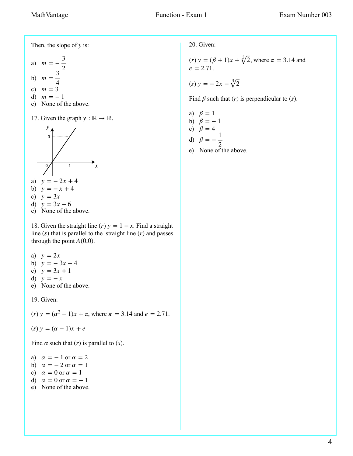Then, the slope of  $y$  is:

a) 
$$
m = -\frac{3}{2}
$$
  
b)  $m = \frac{3}{4}$ 

c) 
$$
m = 3
$$

- d) *m* = − 1
- e) None of the above.
- 17. Given the graph  $y : \mathbb{R} \to \mathbb{R}$ .



a)  $y = -2x + 4$ 

$$
b) \quad y = -x + 4
$$

- c)  $y = 3x$
- d)  $y = 3x 6$
- e) None of the above.

18. Given the straight line  $(r)$   $y = 1 - x$ . Find a straight line  $(s)$  that is parallel to the straight line  $(r)$  and passes through the point  $A(0,0)$ .

- a) *y* = 2*x*
- b)  $y = -3x + 4$
- c)  $y = 3x + 1$
- d) *y* = − *x*
- e) None of the above.

19. Given:

(*r*) 
$$
y = (\alpha^2 - 1)x + \pi
$$
, where  $\pi = 3.14$  and  $e = 2.71$ .

$$
(s) y = (\alpha - 1)x + e
$$

Find  $\alpha$  such that  $(r)$  is parallel to  $(s)$ .

- a)  $\alpha = -1$  or  $\alpha = 2$
- b)  $\alpha = -2$  or  $\alpha = 1$
- c)  $\alpha = 0$  or  $\alpha = 1$
- d)  $\alpha = 0$  or  $\alpha = -1$
- e) None of the above.

20. Given:

(*r*) 
$$
y = (\beta + 1)x + \sqrt[3]{2}
$$
, where  $\pi = 3.14$  and  $e = 2.71$ .

$$
(s) y = -2x - \sqrt[3]{2}
$$

Find  $\beta$  such that  $(r)$  is perpendicular to  $(s)$ .

a) 
$$
\beta = 1
$$
  
b)  $\beta = -$ 

$$
\begin{array}{cc}\n\mathbf{0} & \mathbf{p} = - \\
\mathbf{p} & \mathbf{p} = 1\n\end{array}
$$

c) 
$$
\beta = 4
$$

d) 
$$
\beta = -\frac{1}{2}
$$

e) None of the above.

 $\mathbf{1}$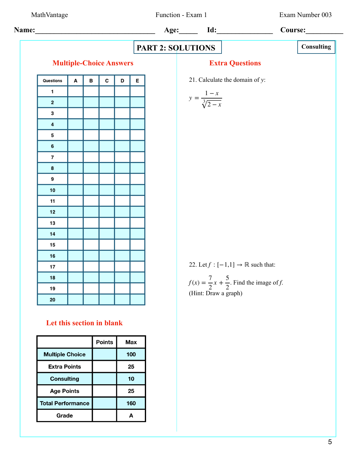**Age Points** 

**Total Performance** 

Grade

25

160

 $\mathbf{A}$ 

MathVantage Function - Exam 1 Exam Number 003

| Name:                   | Age:                                                               | Id:                  | Course: |   |   |
|-------------------------|--------------------------------------------------------------------|----------------------|---------|---|---|
| Multiple-Choice Answers | Extracts                                                           | Constiting           |         |   |   |
| Questions               | A                                                                  | B                    | C       | D | E |
| 1                       | 2                                                                  | 2                    |         |   |   |
| 2                       | 3                                                                  | 21                   |         |   |   |
| 3                       | 5                                                                  |                      |         |   |   |
| 6                       | 7                                                                  |                      |         |   |   |
| 7                       | 8                                                                  |                      |         |   |   |
| 8                       | 10                                                                 |                      |         |   |   |
| 11                      | 12                                                                 |                      |         |   |   |
| 13                      | 14                                                                 |                      |         |   |   |
| 14                      | 12                                                                 |                      |         |   |   |
| 15                      | 16                                                                 |                      |         |   |   |
| 16                      | 17                                                                 |                      |         |   |   |
| 18                      | 22. Let $f : [-1, 1] \rightarrow \mathbb{R}$ such that:            |                      |         |   |   |
| 19                      | $f(x) = \frac{7}{2}x + \frac{5}{2}$ . Find the image of <i>f</i> . |                      |         |   |   |
| 12                      | 20                                                                 | (Hint: Draw a graph) |         |   |   |
| 12                      | 12                                                                 |                      |         |   |   |

\nLet this section in blank

\nPoints

\nThus,  $\mathbb{M} \times \mathbb{R}$  points

\nConstituting

\n10